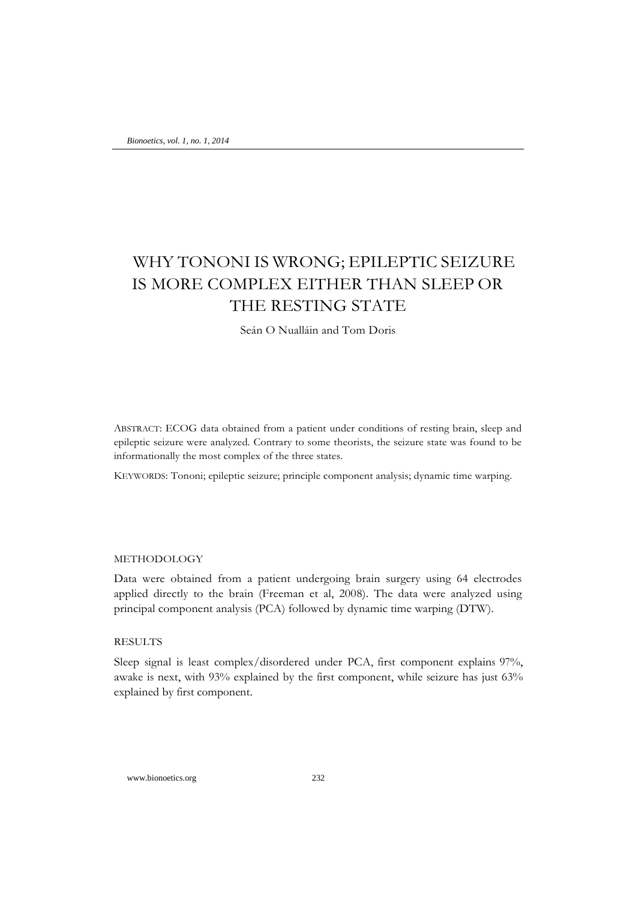# WHY TONONI IS WRONG; EPILEPTIC SEIZURE IS MORE COMPLEX EITHER THAN SLEEP OR THE RESTING STATE

Seán O Nualláin and Tom Doris

ABSTRACT: ECOG data obtained from a patient under conditions of resting brain, sleep and epileptic seizure were analyzed. Contrary to some theorists, the seizure state was found to be informationally the most complex of the three states.

KEYWORDS: Tononi; epileptic seizure; principle component analysis; dynamic time warping.

### METHODOLOGY

Data were obtained from a patient undergoing brain surgery using 64 electrodes applied directly to the brain (Freeman et al, 2008). The data were analyzed using principal component analysis (PCA) followed by dynamic time warping (DTW).

## RESULTS

Sleep signal is least complex/disordered under PCA, first component explains 97%, awake is next, with 93% explained by the first component, while seizure has just 63% explained by first component.

www.bionoetics.org 232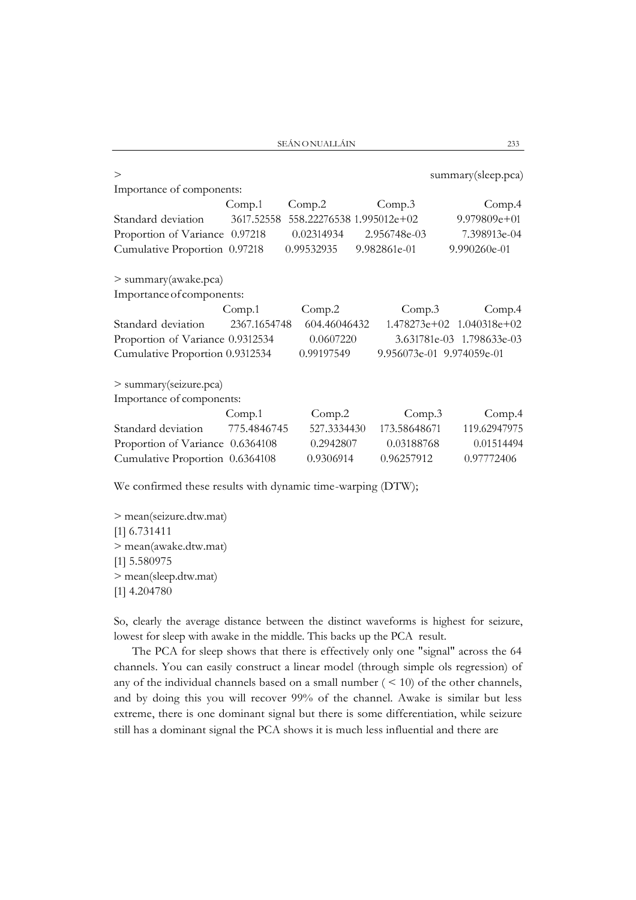SEÁNONUALLÁIN 233

| $\geq$                           |              |              |                           | summary(sleep.pca)            |
|----------------------------------|--------------|--------------|---------------------------|-------------------------------|
| Importance of components:        |              |              |                           |                               |
|                                  | Comp.1       | Comp.2       | Comp.3                    | Comp.4                        |
| Standard deviation               | 3617.52558   |              | 558.22276538 1.995012e+02 | $9.979809e+01$                |
| Proportion of Variance 0.97218   |              | 0.02314934   | 2.956748e-03              | 7.398913e-04                  |
| Cumulative Proportion 0.97218    |              | 0.99532935   | 9.982861e-01              | 9.990260e-01                  |
| > summary(awake.pca)             |              |              |                           |                               |
| Importance of components:        |              |              |                           |                               |
|                                  | Comp.1       | Comp.2       |                           | Comp.3<br>Comp.4              |
| Standard deviation               | 2367.1654748 | 604.46046432 |                           | $1.478273e+02$ $1.040318e+02$ |
| Proportion of Variance 0.9312534 |              | 0.0607220    |                           | 3.631781e-03 1.798633e-03     |
| Cumulative Proportion 0.9312534  |              | 0.99197549   |                           | 9.956073e-01 9.974059e-01     |
| > summary(seizure.pca)           |              |              |                           |                               |
| Importance of components:        |              |              |                           |                               |
|                                  | Comp.1       | Comp.2       | Comp.3                    | Comp.4                        |
| Standard deviation               | 775.4846745  | 527.3334430  | 173.58648671              | 119.62947975                  |
| Proportion of Variance 0.6364108 |              | 0.2942807    | 0.03188768                | 0.01514494                    |
| Cumulative Proportion 0.6364108  |              | 0.9306914    | 0.96257912                | 0.97772406                    |

We confirmed these results with dynamic time-warping (DTW);

> mean(seizure.dtw.mat) [1] 6.731411 > mean(awake.dtw.mat) [1] 5.580975 > mean(sleep.dtw.mat) [1] 4.204780

So, clearly the average distance between the distinct waveforms is highest for seizure, lowest for sleep with awake in the middle. This backs up the PCA result.

The PCA for sleep shows that there is effectively only one "signal" across the 64 channels. You can easily construct a linear model (through simple ols regression) of any of the individual channels based on a small number  $($  < 10) of the other channels, and by doing this you will recover 99% of the channel. Awake is similar but less extreme, there is one dominant signal but there is some differentiation, while seizure still has a dominant signal the PCA shows it is much less influential and there are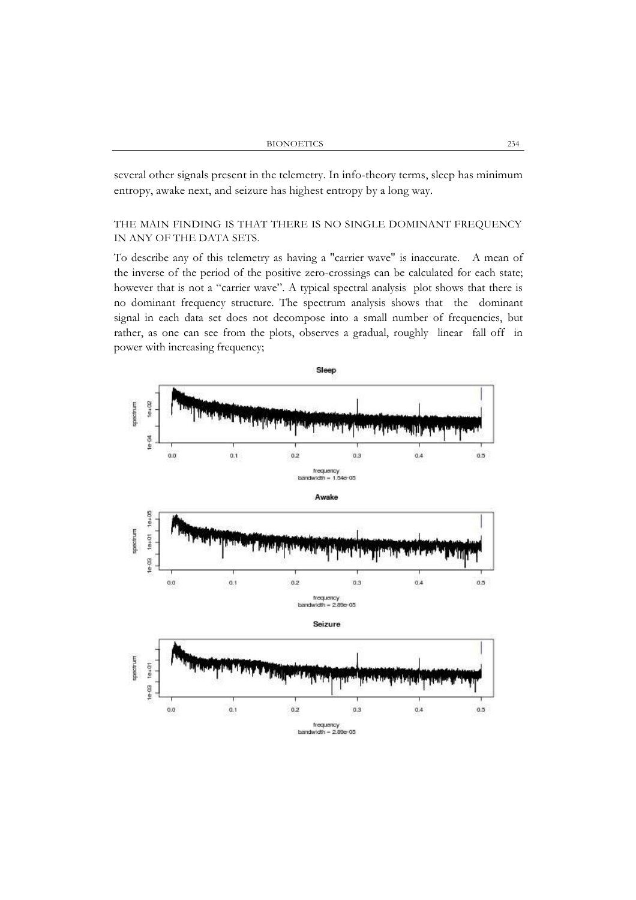several other signals present in the telemetry. In info-theory terms, sleep has minimum entropy, awake next, and seizure has highest entropy by a long way.

# THE MAIN FINDING IS THAT THERE IS NO SINGLE DOMINANT FREQUENCY IN ANY OF THE DATA SETS.

To describe any of this telemetry as having a "carrier wave" is inaccurate. A mean of the inverse of the period of the positive zero-crossings can be calculated for each state; however that is not a "carrier wave". A typical spectral analysis plot shows that there is no dominant frequency structure. The spectrum analysis shows that the dominant signal in each data set does not decompose into a small number of frequencies, but rather, as one can see from the plots, observes a gradual, roughly linear fall off in power with increasing frequency;

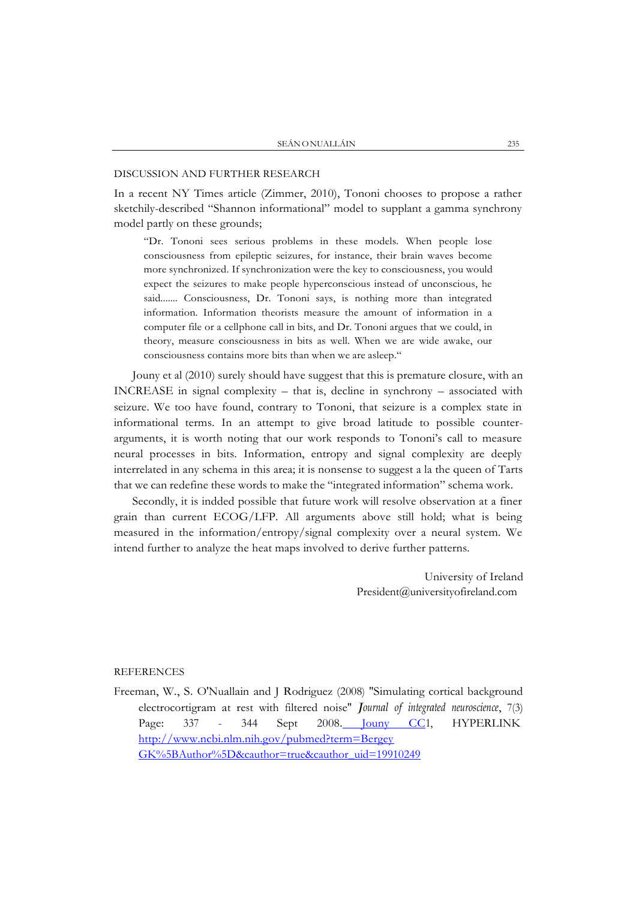## DISCUSSION AND FURTHER RESEARCH

In a recent NY Times article (Zimmer, 2010), Tononi chooses to propose a rather sketchily-described "Shannon informational" model to supplant a gamma synchrony model partly on these grounds;

"Dr. Tononi sees serious problems in these models. When people lose consciousness from epileptic seizures, for instance, their brain waves become more synchronized. If synchronization were the key to consciousness, you would expect the seizures to make people hyperconscious instead of unconscious, he said....... Consciousness, Dr. Tononi says, is nothing more than integrated information. Information theorists measure the amount of information in a computer file or a cellphone call in bits, and Dr. Tononi argues that we could, in theory, measure consciousness in bits as well. When we are wide awake, our consciousness contains more bits than when we are asleep."

Jouny et al (2010) surely should have suggest that this is premature closure, with an INCREASE in signal complexity – that is, decline in synchrony – associated with seizure. We too have found, contrary to Tononi, that seizure is a complex state in informational terms. In an attempt to give broad latitude to possible counterarguments, it is worth noting that our work responds to Tononi's call to measure neural processes in bits. Information, entropy and signal complexity are deeply interrelated in any schema in this area; it is nonsense to suggest a la the queen of Tarts that we can redefine these words to make the "integrated information" schema work.

Secondly, it is indded possible that future work will resolve observation at a finer grain than current ECOG/LFP. All arguments above still hold; what is being measured in the information/entropy/signal complexity over a neural system. We intend further to analyze the heat maps involved to derive further patterns.

> University of Ireland [President@universityofireland.com](mailto:President@universityofireland.com)

### **REFERENCES**

Freeman, W., S. O'Nuallain and J Rodriguez (2008) "Simulating cortical background electrocortigram at rest with filtered noise" *Journal of integrated neuroscience*, 7(3) Page: 337 - 344 Sept 200[8. Jouny CC1](http://www.ncbi.nlm.nih.gov/pubmed?term=Jouny%20CC%5BAuthor%5D&cauthor=true&cauthor_uid=19910249), HYPERLINK [http://www.ncbi.nlm.nih.gov/pubmed?term=Bergey](http://www.ncbi.nlm.nih.gov/pubmed?term=Bergey%20GK%5BAuthor%5D&cauthor=true&cauthor_uid=19910249) [GK%5BAuthor%5D&cauthor=true&cauthor\\_uid=19910249](http://www.ncbi.nlm.nih.gov/pubmed?term=Bergey%20GK%5BAuthor%5D&cauthor=true&cauthor_uid=19910249)